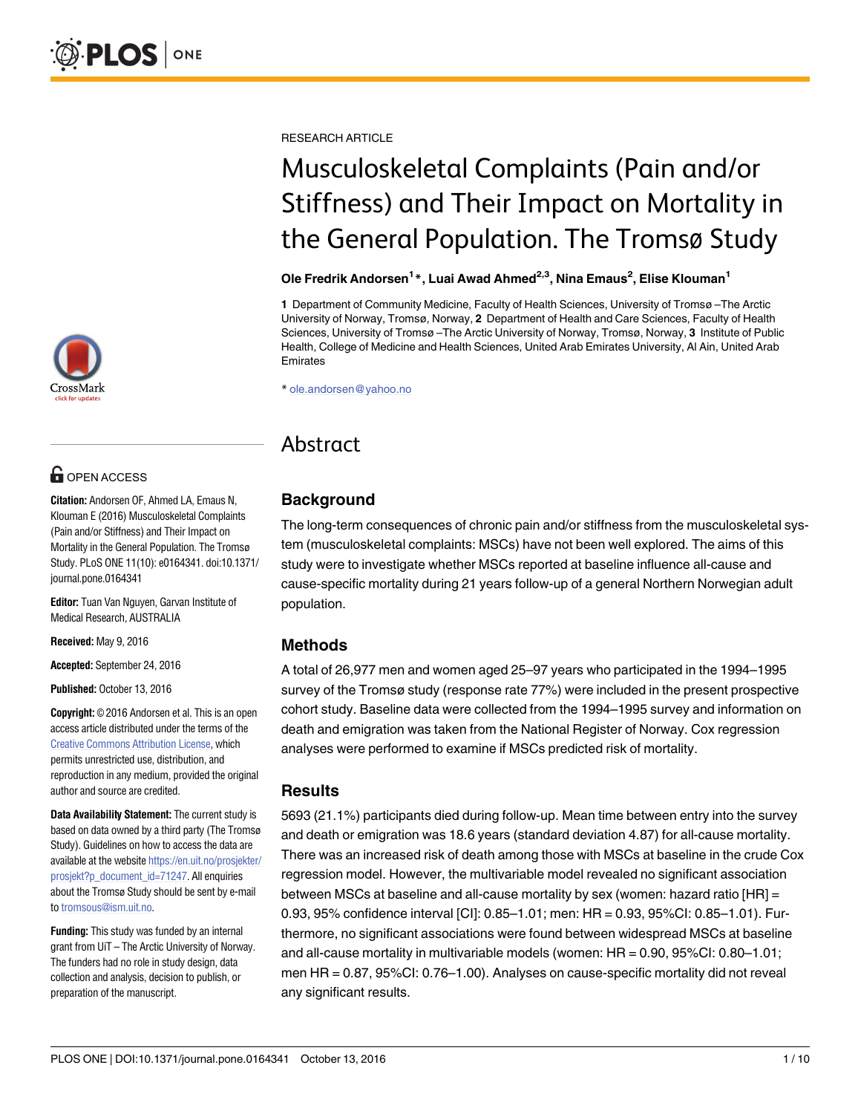

# **G** OPEN ACCESS

**Citation:** Andorsen OF, Ahmed LA, Emaus N, Klouman E (2016) Musculoskeletal Complaints (Pain and/or Stiffness) and Their Impact on Mortality in the General Population. The Tromsø Study. PLoS ONE 11(10): e0164341. doi:10.1371/ journal.pone.0164341

**Editor:** Tuan Van Nguyen, Garvan Institute of Medical Research, AUSTRALIA

**Received:** May 9, 2016

**Accepted:** September 24, 2016

**Published:** October 13, 2016

**Copyright:** © 2016 Andorsen et al. This is an open access article distributed under the terms of the Creative Commons [Attribution](http://creativecommons.org/licenses/by/4.0/) License, which permits unrestricted use, distribution, and reproduction in any medium, provided the original author and source are credited.

**Data Availability Statement:** The current study is based on data owned by a third party (The Tromsø Study). Guidelines on how to access the data are available at the website [https://en.uit.no/prosjekter/](https://en.uit.no/prosjekter/prosjekt?p_document_id=71247) [prosjekt?p\\_document\\_id=71247.](https://en.uit.no/prosjekter/prosjekt?p_document_id=71247) All enquiries about the Tromsø Study should be sent by e-mail to [tromsous@ism.uit.no.](mailto:tromsous@ism.uit.no)

**Funding:** This study was funded by an internal grant from UiT – The Arctic University of Norway. The funders had no role in study design, data collection and analysis, decision to publish, or preparation of the manuscript.

RESEARCH ARTICLE

# Musculoskeletal Complaints (Pain and/or Stiffness) and Their Impact on Mortality in the General Population. The Tromsø Study

#### **Ole Fredrik Andorsen1** \***, Luai Awad Ahmed2,3, Nina Emaus<sup>2</sup> , Elise Klouman1**

**1** Department of Community Medicine, Faculty of Health Sciences, University of Tromsø –The Arctic University of Norway, Tromsø, Norway, **2** Department of Health and Care Sciences, Faculty of Health Sciences, University of Tromsø –The Arctic University of Norway, Tromsø, Norway, **3** Institute of Public Health, College of Medicine and Health Sciences, United Arab Emirates University, Al Ain, United Arab Emirates

\* ole.andorsen@yahoo.no

# Abstract

# **Background**

The long-term consequences of chronic pain and/or stiffness from the musculoskeletal system (musculoskeletal complaints: MSCs) have not been well explored. The aims of this study were to investigate whether MSCs reported at baseline influence all-cause and cause-specific mortality during 21 years follow-up of a general Northern Norwegian adult population.

# **Methods**

A total of 26,977 men and women aged 25–97 years who participated in the 1994–1995 survey of the Tromsø study (response rate 77%) were included in the present prospective cohort study. Baseline data were collected from the 1994–1995 survey and information on death and emigration was taken from the National Register of Norway. Cox regression analyses were performed to examine if MSCs predicted risk of mortality.

# **Results**

5693 (21.1%) participants died during follow-up. Mean time between entry into the survey and death or emigration was 18.6 years (standard deviation 4.87) for all-cause mortality. There was an increased risk of death among those with MSCs at baseline in the crude Cox regression model. However, the multivariable model revealed no significant association between MSCs at baseline and all-cause mortality by sex (women: hazard ratio [HR] = 0.93, 95% confidence interval [CI]: 0.85–1.01; men: HR = 0.93, 95%CI: 0.85–1.01). Furthermore, no significant associations were found between widespread MSCs at baseline and all-cause mortality in multivariable models (women: HR = 0.90, 95%CI: 0.80–1.01; men HR = 0.87, 95%CI: 0.76–1.00). Analyses on cause-specific mortality did not reveal any significant results.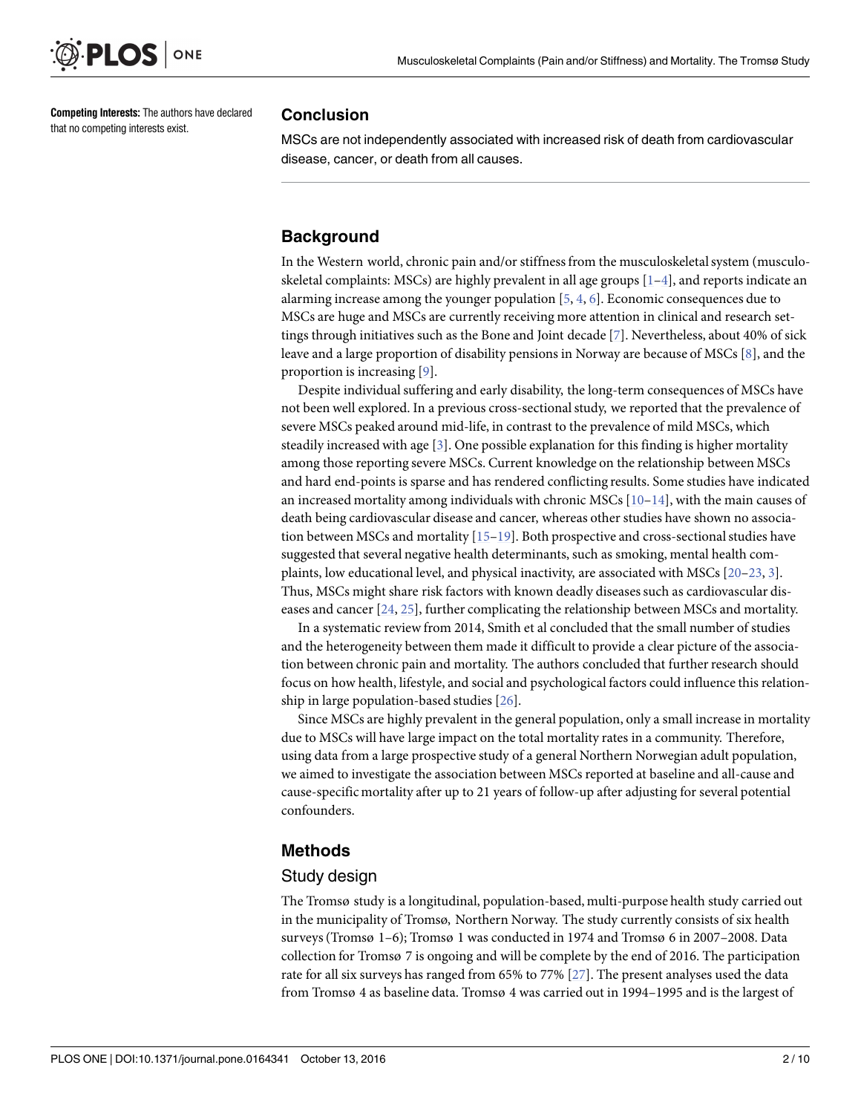<span id="page-1-0"></span>

**Competing Interests:** The authors have declared that no competing interests exist.

#### **Conclusion**

MSCs are not independently associated with increased risk of death from cardiovascular disease, cancer, or death from all causes.

# **Background**

In the Western world, chronic pain and/or stiffnessfrom the musculoskeletalsystem (musculoskeletal complaints: MSCs) are highly prevalent in all age groups  $[1-4]$ , and reports indicate an alarming increase among the younger population  $[5, 4, 6]$  $[5, 4, 6]$  $[5, 4, 6]$  $[5, 4, 6]$  $[5, 4, 6]$  $[5, 4, 6]$ . Economic consequences due to MSCs are huge and MSCs are currently receiving more attention in clinical and research settings through initiatives such as the Bone and Joint decade [\[7](#page-7-0)]. Nevertheless, about 40% of sick leave and a large proportion of disability pensions in Norway are because of MSCs [\[8](#page-7-0)], and the proportion is increasing [[9\]](#page-7-0).

Despite individual suffering and early disability, the long-term consequences of MSCs have not been well explored. In a previous cross-sectionalstudy, we reported that the prevalence of severe MSCs peaked around mid-life, in contrast to the prevalence of mild MSCs, which steadily increased with age  $[3]$  $[3]$  $[3]$ . One possible explanation for this finding is higher mortality among those reporting severe MSCs. Current knowledge on the relationship between MSCs and hard end-points is sparse and has rendered conflicting results. Some studies have indicated an increased mortality among individuals with chronic MSCs  $[10-14]$  $[10-14]$  $[10-14]$ , with the main causes of death being cardiovascular disease and cancer, whereas other studies have shown no associa-tion between MSCs and mortality [[15–19](#page-8-0)]. Both prospective and cross-sectional studies have suggested that several negative health determinants, such as smoking, mental health complaints, low educational level, and physical inactivity, are associated with MSCs [[20–23](#page-8-0), [3](#page-7-0)]. Thus, MSCs might share risk factors with known deadly diseasessuch as cardiovascular diseases and cancer [\[24,](#page-8-0) [25\]](#page-8-0), further complicating the relationship between MSCs and mortality.

In a systematic reviewfrom 2014, Smith et al concluded that the small number of studies and the heterogeneity between them made it difficult to provide a clear picture of the association between chronic pain and mortality. The authors concluded that further research should focus on how health, lifestyle, and social and psychological factors could influence this relationship in large population-based studies [[26](#page-8-0)].

Since MSCs are highly prevalent in the general population, only a small increase in mortality due to MSCs will have large impact on the total mortality rates in a community. Therefore, using data from a large prospective study of a general Northern Norwegian adult population, we aimed to investigate the association between MSCs reported at baseline and all-cause and cause-specific mortality after up to 21 years of follow-up after adjusting for several potential confounders.

# **Methods**

#### Study design

The Tromsø study is a longitudinal, population-based, multi-purpose health study carried out in the municipality of Tromsø, Northern Norway. The study currently consists of six health surveys(Tromsø 1–6); Tromsø 1 was conducted in 1974 and Tromsø 6 in 2007–2008. Data collection for Tromsø 7 is ongoing and will be complete by the end of 2016. The participation rate for all six surveys has ranged from 65% to 77% [[27\]](#page-8-0). The present analyses used the data from Tromsø 4 as baseline data. Tromsø 4 was carried out in 1994–1995 and is the largest of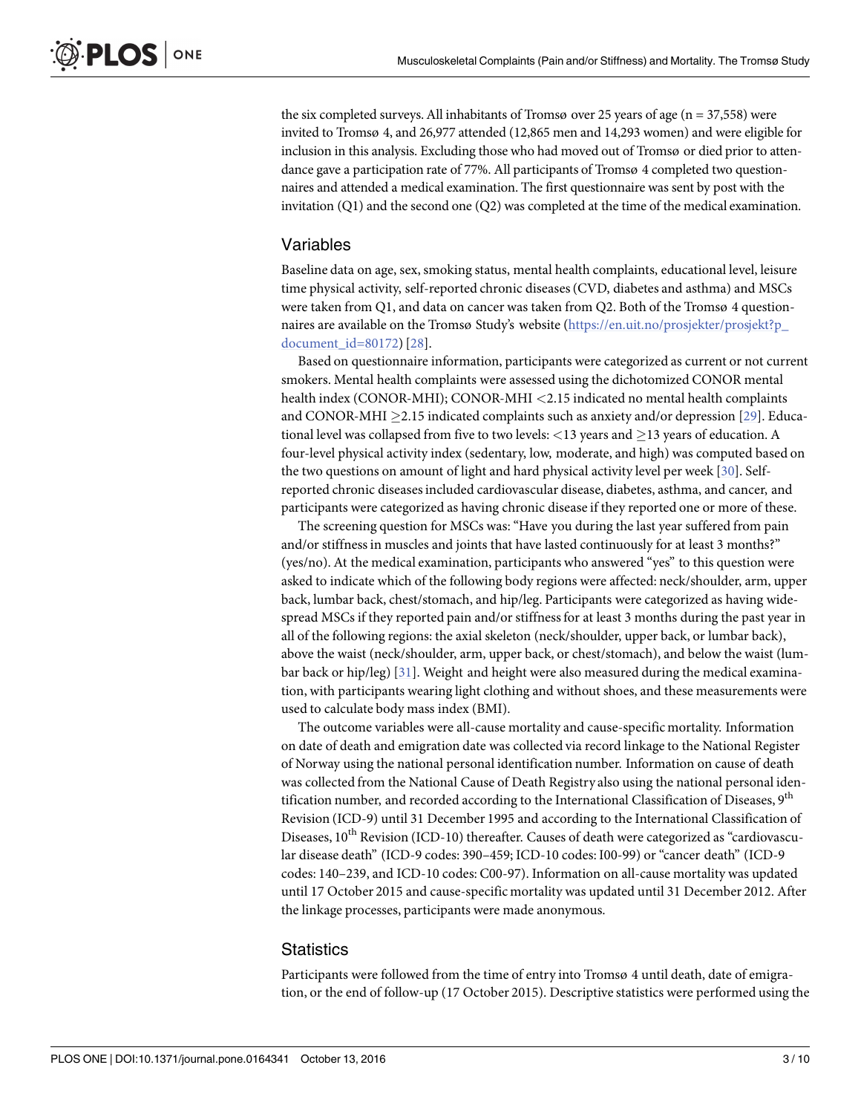<span id="page-2-0"></span>the six completed surveys. All inhabitants of Tromsø over 25 years of age ( $n = 37,558$ ) were invited to Tromsø 4, and 26,977 attended (12,865 men and 14,293 women) and were eligible for inclusion in this analysis. Excluding those who had moved out of Tromsø or died prior to attendance gave a participation rate of 77%. All participants of Tromsø 4 completed two questionnaires and attended a medical examination. The first questionnaire was sent by post with the invitation (Q1) and the second one (Q2) was completed at the time of the medical examination.

# Variables

Baseline data on age, sex, smoking status, mental health complaints, educational level, leisure time physical activity, self-reported chronic diseases(CVD, diabetes and asthma) and MSCs were taken from Q1, and data on cancer was taken from Q2. Both of the Tromsø 4 question-naires are available on the Tromsø Study's website [\(https://en.uit.no/prosjekter/prosjekt?p\\_](https://en.uit.no/prosjekter/prosjekt?p_document_id=80172) [document\\_id=80172](https://en.uit.no/prosjekter/prosjekt?p_document_id=80172))[[28\]](#page-8-0).

Based on questionnaire information, participants were categorized as current or not current smokers. Mental health complaints were assessed using the dichotomized CONOR mental health index (CONOR-MHI); CONOR-MHI *<*2.15 indicated no mental health complaints and CONOR-MHI  $\geq$ 2.15 indicated complaints such as anxiety and/or depression [[29](#page-8-0)]. Educational level was collapsed from five to two levels: <13 years and  $\geq$ 13 years of education. A four-level physical activity index (sedentary, low, moderate, and high) was computed based on the two questions on amount of light and hard physical activity level per week [[30\]](#page-8-0). Selfreported chronic diseasesincluded cardiovascular disease, diabetes, asthma, and cancer, and participants were categorized as having chronic disease if they reported one or more of these.

The screening question for MSCs was: "Have you during the last year suffered from pain and/or stiffnessin muscles and joints that have lasted continuously for at least 3 months?" (yes/no). At the medical examination, participants who answered "yes" to this question were asked to indicate which of the following body regions were affected: neck/shoulder, arm, upper back, lumbar back, chest/stomach, and hip/leg. Participants were categorized as having widespread MSCs if they reported pain and/or stiffness for at least 3 months during the past year in all of the following regions: the axial skeleton (neck/shoulder, upper back, or lumbar back), above the waist (neck/shoulder, arm, upper back, or chest/stomach), and below the waist (lumbar back or hip/leg) [\[31](#page-8-0)]. Weight and height were also measured during the medical examination, with participants wearing light clothing and without shoes, and these measurements were used to calculate body mass index (BMI).

The outcome variables were all-cause mortality and cause-specific mortality. Information on date of death and emigration date was collected via record linkage to the National Register of Norway using the national personal identification number. Information on cause of death was collected from the National Cause of Death Registry also using the national personal identification number, and recorded according to the International Classification of Diseases, 9<sup>th</sup> Revision (ICD-9) until 31 December 1995 and according to the International Classification of Diseases, 10<sup>th</sup> Revision (ICD-10) thereafter. Causes of death were categorized as "cardiovascular disease death" (ICD-9 codes: 390–459; ICD-10 codes: I00-99) or "cancer death" (ICD-9 codes: 140–239, and ICD-10 codes: C00-97). Information on all-cause mortality was updated until 17 October 2015 and cause-specific mortality was updated until 31 December 2012. After the linkage processes, participants were made anonymous.

#### **Statistics**

Participants were followed from the time of entry into Tromsø 4 until death, date of emigration, or the end of follow-up (17 October 2015). Descriptive statistics were performed using the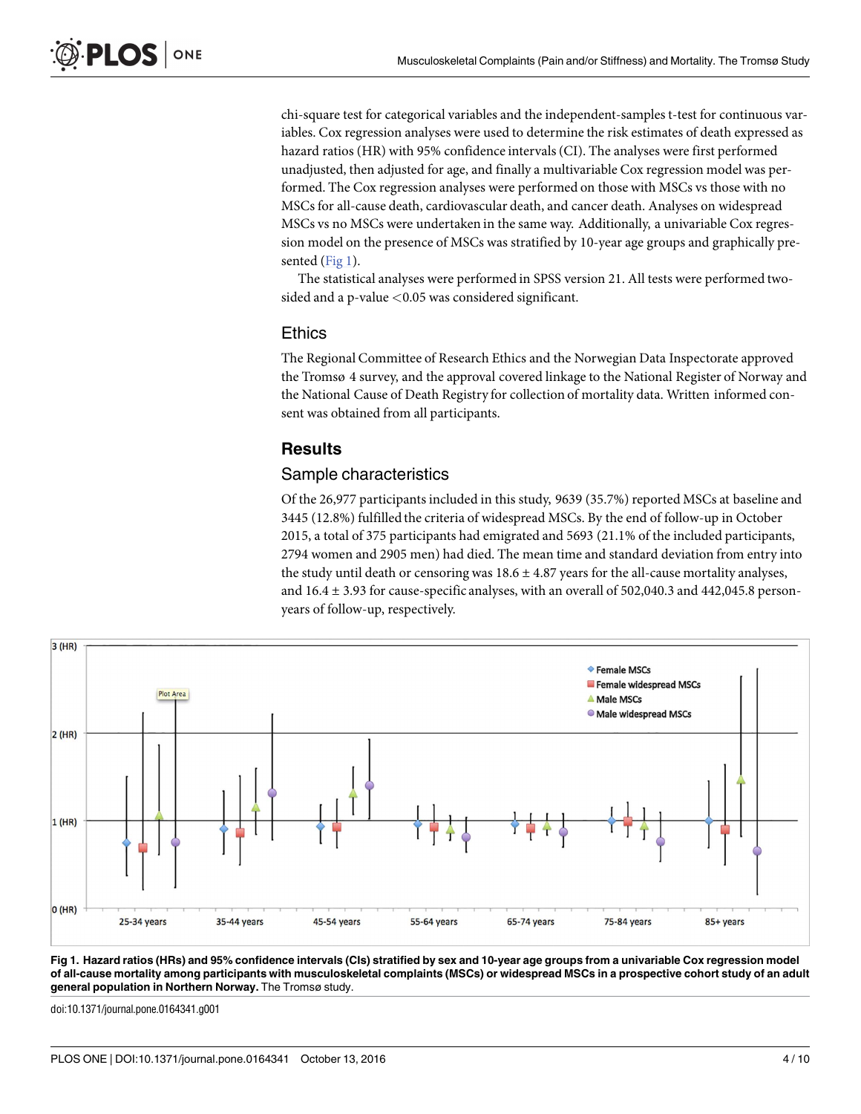<span id="page-3-0"></span>chi-square test for categorical variables and the independent-samples t-test for continuous variables. Cox regression analyses were used to determine the risk estimates of death expressed as hazard ratios (HR) with 95% confidence intervals(CI). The analyses were first performed unadjusted, then adjusted for age, and finally a multivariable Cox regression model was performed. The Cox regression analyses were performed on those with MSCs vs those with no MSCs for all-cause death, cardiovascular death, and cancer death. Analyses on widespread MSCs vs no MSCs were undertaken in the same way. Additionally, a univariable Cox regression model on the presence of MSCs was stratified by 10-year age groups and graphically presented (Fig 1).

The statistical analyses were performed in SPSS version 21. All tests were performed twosided and a p-value *<*0.05 was considered significant.

#### **Ethics**

The Regional Committee of Research Ethics and the Norwegian Data Inspectorate approved the Tromsø 4 survey, and the approval covered linkage to the National Register of Norway and the National Cause of Death Registry for collection of mortality data. Written informed consent was obtained from all participants.

#### **Results**

#### Sample characteristics

Of the 26,977 participants included in this study, 9639 (35.7%) reported MSCs at baseline and 3445 (12.8%) fulfilled the criteria of widespread MSCs. By the end of follow-up in October 2015, a total of 375 participants had emigrated and 5693 (21.1% of the included participants, 2794 women and 2905 men) had died. The mean time and standard deviation from entry into the study until death or censoring was  $18.6 \pm 4.87$  years for the all-cause mortality analyses, and  $16.4 \pm 3.93$  for cause-specific analyses, with an overall of 502,040.3 and 442,045.8 personyears of follow-up, respectively.



Fig 1. Hazard ratios (HRs) and 95% confidence intervals (Cls) stratified by sex and 10-year age groups from a univariable Cox regression model of all-cause mortality among participants with musculoskeletal complaints (MSCs) or widespread MSCs in a prospective cohort study of an adult **general population in Northern Norway.** The Tromsø study.

doi:10.1371/journal.pone.0164341.g001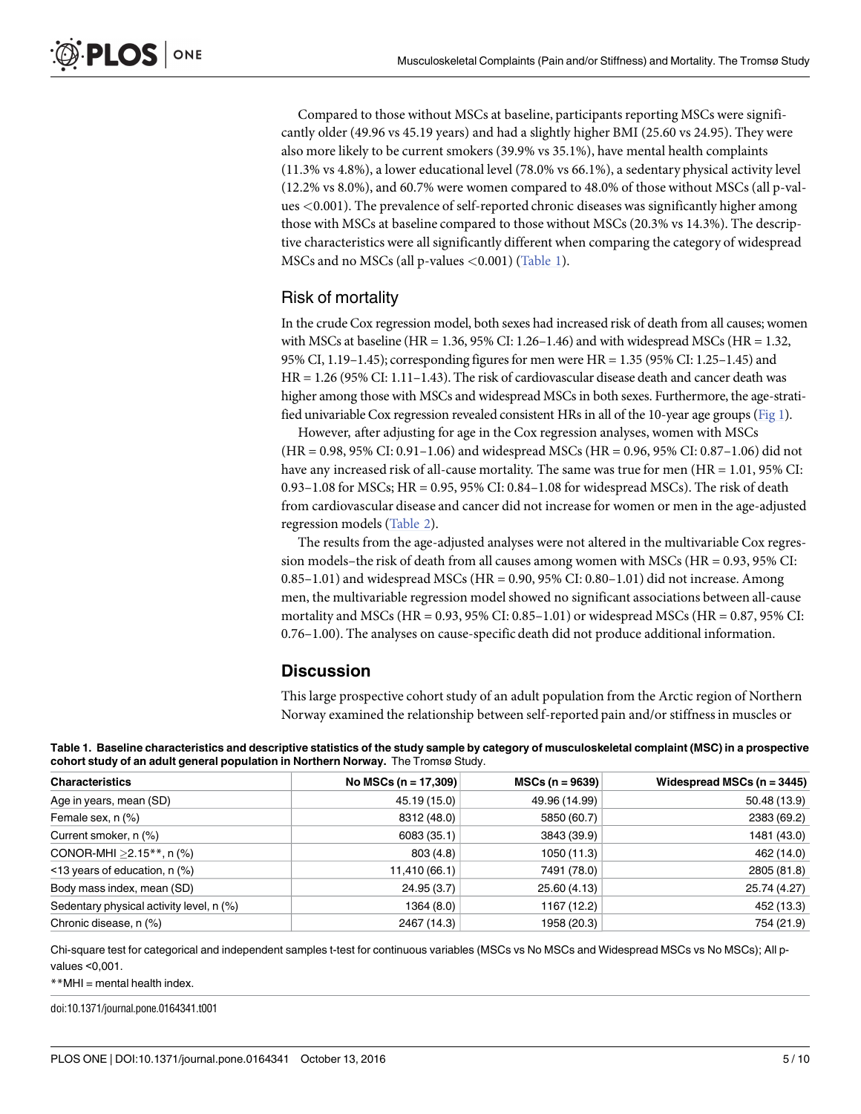<span id="page-4-0"></span>Compared to those without MSCs at baseline, participants reporting MSCs were significantly older (49.96 vs 45.19 years) and had a slightly higher BMI (25.60 vs 24.95). They were also more likely to be current smokers (39.9% vs 35.1%), have mental health complaints (11.3% vs 4.8%), a lower educational level (78.0% vs 66.1%), a sedentary physical activity level (12.2% vs 8.0%), and 60.7% were women compared to 48.0% of those without MSCs (all p-values *<*0.001). The prevalence of self-reported chronic diseaseswas significantly higher among those with MSCs at baseline compared to those without MSCs (20.3% vs 14.3%). The descriptive characteristics were all significantly different when comparing the category of widespread MSCs and no MSCs (all p-values *<*0.001) (Table 1).

# Risk of mortality

In the crude Cox regression model, both sexes had increased risk of death from all causes; women with MSCs at baseline (HR = 1.36, 95% CI: 1.26–1.46) and with widespread MSCs (HR = 1.32, 95% CI, 1.19–1.45); corresponding figuresfor men were HR = 1.35 (95% CI: 1.25–1.45) and HR = 1.26 (95% CI: 1.11–1.43). The risk of cardiovascular disease death and cancer death was higher among those with MSCs and widespread MSCs in both sexes. Furthermore, the age-stratified univariable Cox regression revealed consistent HRs in all of the 10-year age groups [\(Fig](#page-3-0) 1).

However, after adjusting for age in the Cox regression analyses, women with MSCs (HR = 0.98, 95% CI: 0.91–1.06) and widespread MSCs (HR = 0.96, 95% CI: 0.87–1.06) did not have any increased risk of all-cause mortality. The same was true for men (HR = 1.01, 95% CI: 0.93–1.08 for MSCs; HR = 0.95, 95% CI: 0.84–1.08 for widespread MSCs). The risk of death from cardiovascular disease and cancer did not increase for women or men in the age-adjusted regression models [\(Table](#page-5-0) 2).

The results from the age-adjusted analyses were not altered in the multivariable Cox regression models–the risk of death from all causes among women with MSCs (HR = 0.93, 95% CI:  $0.85-1.01$ ) and widespread MSCs (HR = 0.90, 95% CI:  $0.80-1.01$ ) did not increase. Among men, the multivariable regression model showed no significant associations between all-cause mortality and MSCs (HR = 0.93, 95% CI: 0.85–1.01) or widespread MSCs (HR = 0.87, 95% CI: 0.76–1.00). The analyses on cause-specific death did not produce additional information.

# **Discussion**

This large prospective cohort study of an adult population from the Arctic region of Northern Norway examined the relationship between self-reported pain and/or stiffnessin muscles or

| Table 1. Baseline characteristics and descriptive statistics of the study sample by category of musculoskeletal complaint (MSC) in a prospective |  |
|--------------------------------------------------------------------------------------------------------------------------------------------------|--|
| cohort study of an adult general population in Northern Norway. The Tromsø Study.                                                                |  |

| <b>Characteristics</b>                   | No MSCs ( $n = 17,309$ ) | $MSCs (n = 9639)$ | Widespread MSCs $(n = 3445)$ |  |
|------------------------------------------|--------------------------|-------------------|------------------------------|--|
| Age in years, mean (SD)                  | 45.19 (15.0)             | 49.96 (14.99)     | 50.48 (13.9)                 |  |
| Female sex, n (%)                        | 8312 (48.0)              | 5850 (60.7)       | 2383 (69.2)                  |  |
| Current smoker, n (%)                    | 6083 (35.1)              | 3843 (39.9)       | 1481 (43.0)                  |  |
| CONOR-MHI $>2.15**$ , n (%)              | 803 (4.8)                | 1050 (11.3)       | 462 (14.0)                   |  |
| $\le$ 13 years of education, n (%)       | 11,410 (66.1)            | 7491 (78.0)       | 2805 (81.8)                  |  |
| Body mass index, mean (SD)               | 24.95 (3.7)              | 25.60 (4.13)      | 25.74 (4.27)                 |  |
| Sedentary physical activity level, n (%) | 1364 (8.0)               | 1167 (12.2)       | 452 (13.3)                   |  |
| Chronic disease, n (%)                   | 2467 (14.3)              | 1958 (20.3)       | 754 (21.9)                   |  |

Chi-square test for categorical and independent samples t-test for continuous variables (MSCs vs No MSCs and Widespread MSCs vs No MSCs); All pvalues <0,001.

#### \*\*MHI = mental health index.

doi:10.1371/journal.pone.0164341.t001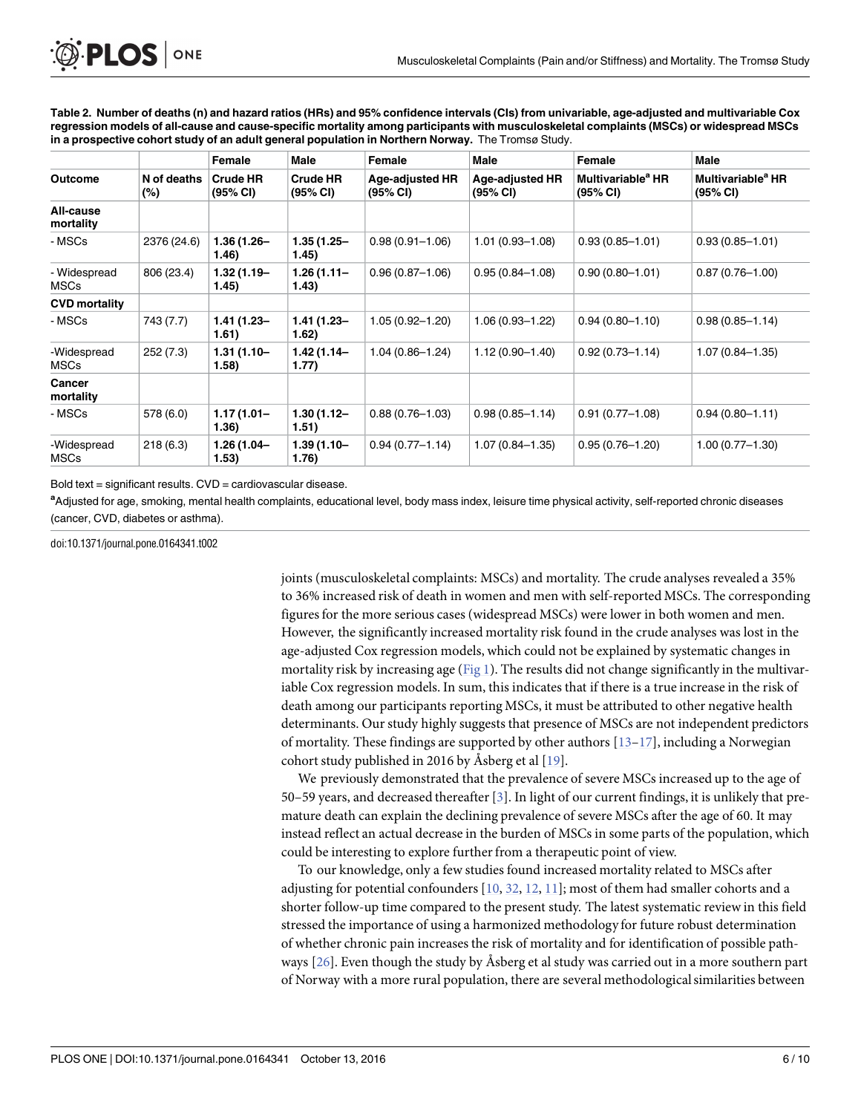<span id="page-5-0"></span>

[Table](#page-4-0) 2. Number of deaths (n) and hazard ratios (HRs) and 95% confidence intervals (CIs) from univariable, age-adjusted and multivariable Cox regression models of all-cause and cause-specific mortality among participants with musculoskeletal complaints (MSCs) or widespread MSCs **in a prospective cohort study of an adult general population in Northern Norway.** The Tromsø Study.

| <b>Outcome</b>              | N of deaths<br>$(\%)$ | Female<br><b>Crude HR</b><br>(95% CI) | Male<br><b>Crude HR</b><br>(95% CI) | Female<br><b>Age-adjusted HR</b><br>(95% CI) | Male<br><b>Age-adjusted HR</b><br>(95% CI) | Female<br>Multivariable <sup>a</sup> HR<br>(95% CI) | Male<br>Multivariable <sup>a</sup> HR<br>(95% CI) |
|-----------------------------|-----------------------|---------------------------------------|-------------------------------------|----------------------------------------------|--------------------------------------------|-----------------------------------------------------|---------------------------------------------------|
|                             |                       |                                       |                                     |                                              |                                            |                                                     |                                                   |
| - MSCs                      | 2376 (24.6)           | $1.36(1.26 -$<br>1.46)                | $1.35(1.25 -$<br>1.45)              | $0.98(0.91 - 1.06)$                          | $1.01(0.93 - 1.08)$                        | $0.93(0.85 - 1.01)$                                 | $0.93(0.85 - 1.01)$                               |
| - Widespread<br><b>MSCs</b> | 806 (23.4)            | $1.32(1.19 -$<br>1.45)                | $1.26(1.11 -$<br>1.43)              | $0.96(0.87 - 1.06)$                          | $0.95(0.84 - 1.08)$                        | $0.90(0.80 - 1.01)$                                 | $0.87(0.76 - 1.00)$                               |
| <b>CVD mortality</b>        |                       |                                       |                                     |                                              |                                            |                                                     |                                                   |
| - MSCs                      | 743 (7.7)             | $1.41(1.23 -$<br>1.61)                | $1.41(1.23 -$<br>1.62)              | $1.05(0.92 - 1.20)$                          | $1.06(0.93 - 1.22)$                        | $0.94(0.80 - 1.10)$                                 | $0.98(0.85 - 1.14)$                               |
| -Widespread<br><b>MSCs</b>  | 252(7.3)              | $1.31(1.10 -$<br>1.58)                | $1.42(1.14 -$<br>1.77)              | $1.04(0.86 - 1.24)$                          | $1.12(0.90 - 1.40)$                        | $0.92(0.73 - 1.14)$                                 | $1.07(0.84 - 1.35)$                               |
| Cancer<br>mortality         |                       |                                       |                                     |                                              |                                            |                                                     |                                                   |
| - MSCs                      | 578 (6.0)             | $1.17(1.01 -$<br>1.36)                | $1.30(1.12 -$<br>1.51)              | $0.88(0.76 - 1.03)$                          | $0.98(0.85 - 1.14)$                        | $0.91(0.77 - 1.08)$                                 | $0.94(0.80 - 1.11)$                               |
| -Widespread<br><b>MSCs</b>  | 218(6.3)              | $1.26(1.04 -$<br>(1.53)               | $1.39(1.10 -$<br>1.76)              | $0.94(0.77 - 1.14)$                          | $1.07(0.84 - 1.35)$                        | $0.95(0.76 - 1.20)$                                 | $1.00(0.77 - 1.30)$                               |

Bold text = significant results. CVD = cardiovascular disease.

**a** Adjusted for age, smoking, mental health complaints, educational level, body mass index, leisure time physical activity, self-reported chronic diseases (cancer, CVD, diabetes or asthma).

doi:10.1371/journal.pone.0164341.t002

joints (musculoskeletal complaints: MSCs) and mortality. The crude analyses revealed a 35% to 36% increased risk of death in women and men with self-reported MSCs. The corresponding figures for the more serious cases (widespread MSCs) were lower in both women and men. However, the significantly increased mortality risk found in the crude analyses was lost in the age-adjusted Cox regression models, which could not be explained by systematic changes in mortality risk by increasing age [\(Fig](#page-3-0) 1). The results did not change significantly in the multivariable Cox regression models. In sum, this indicates that if there is a true increase in the risk of death among our participants reporting MSCs, it must be attributed to other negative health determinants. Our study highly suggests that presence of MSCs are not independent predictors of mortality. These findings are supported by other authors  $[13-17]$ , including a Norwegian cohort study published in 2016 by Åsberg et al [[19](#page-8-0)].

We previously demonstrated that the prevalence of severe MSCs increased up to the age of 50–59 years, and decreased thereafter[\[3](#page-7-0)]. In light of our current findings, it is unlikely that premature death can explain the declining prevalence of severe MSCs after the age of 60. It may instead reflect an actual decrease in the burden of MSCs in some parts of the population, which could be interesting to explore further from a therapeutic point of view.

To our knowledge, only a few studies found increased mortality related to MSCs after adjusting for potential confounders [[10](#page-7-0), [32](#page-8-0), [12](#page-8-0), [11](#page-7-0)]; most of them had smaller cohorts and a shorter follow-up time compared to the present study. The latest systematic review in this field stressed the importance of using a harmonized methodology for future robust determination of whether chronic pain increasesthe risk of mortality and for identification of possible pathways [\[26\]](#page-8-0). Even though the study by Åsberg et al study was carried out in a more southern part of Norway with a more rural population, there are several methodologicalsimilarities between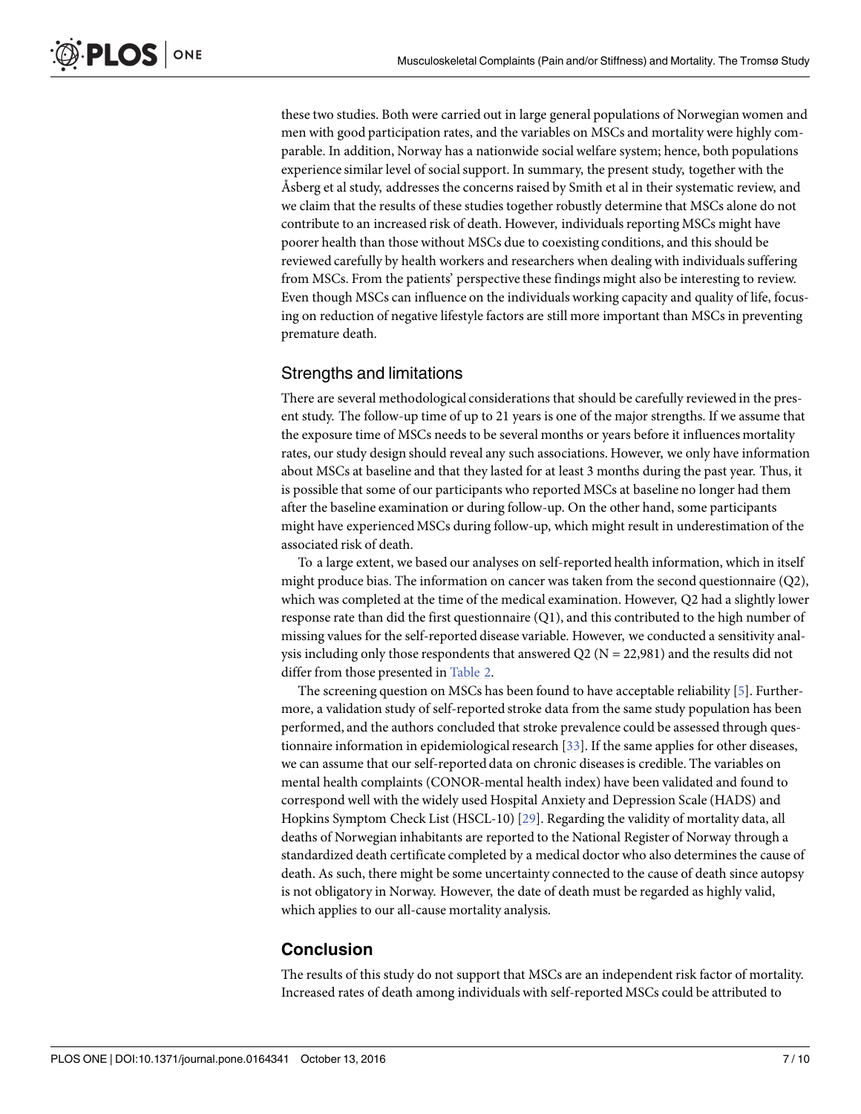<span id="page-6-0"></span>these two studies. Both were carried out in large general populations of Norwegian women and men with good participation rates, and the variables on MSCs and mortality were highly comparable. In addition, Norway has a nationwide social welfare system; hence, both populations experience similar level of socialsupport. In summary, the present study, together with the Åsberg et al study, addresses the concerns raised by Smith et al in their systematic review, and we claim that the results of these studies together robustly determine that MSCs alone do not contribute to an increased risk of death. However, individuals reporting MSCs might have poorer health than those without MSCs due to coexisting conditions, and this should be reviewed carefully by health workers and researchers when dealing with individuals suffering from MSCs. From the patients' perspective these findings might also be interesting to review. Even though MSCs can influence on the individuals working capacity and quality of life, focusing on reduction of negative lifestyle factors are still more important than MSCs in preventing premature death.

# Strengths and limitations

There are several methodological considerations that should be carefully reviewed in the present study. The follow-up time of up to 21 years is one of the major strengths. If we assume that the exposure time of MSCs needs to be several months or years before it influences mortality rates, our study design should reveal any such associations. However, we only have information about MSCs at baseline and that they lasted for at least 3 months during the past year. Thus, it is possible that some of our participants who reported MSCs at baseline no longer had them after the baseline examination or during follow-up. On the other hand, some participants might have experiencedMSCs during follow-up, which might result in underestimation of the associated risk of death.

To a large extent, we based our analyses on self-reported health information, which in itself might produce bias. The information on cancer was taken from the second questionnaire (Q2), which was completed at the time of the medical examination. However, Q2 had a slightly lower response rate than did the first questionnaire (Q1), and this contributed to the high number of missing values for the self-reported disease variable. However, we conducted a sensitivity analysis including only those respondents that answered Q2 ( $N = 22,981$ ) and the results did not differ from those presented in [Table](#page-5-0) 2.

The screening question on MSCs has been found to have acceptable reliability [[5\]](#page-7-0). Furthermore, a validation study of self-reported stroke data from the same study population has been performed, and the authors concluded that stroke prevalence could be assessed through ques-tionnaire information in epidemiological research [[33\]](#page-9-0). If the same applies for other diseases, we can assume that our self-reported data on chronic diseasesis credible. The variables on mental health complaints (CONOR-mental health index) have been validated and found to correspond well with the widely used Hospital Anxiety and Depression Scale (HADS) and Hopkins Symptom Check List (HSCL-10) [[29](#page-8-0)]. Regarding the validity of mortality data, all deaths of Norwegian inhabitants are reported to the National Register of Norway through a standardized death certificate completed by a medical doctor who also determines the cause of death. As such, there might be some uncertainty connected to the cause of death since autopsy is not obligatory in Norway. However, the date of death must be regarded as highly valid, which applies to our all-cause mortality analysis.

# **Conclusion**

The results of this study do not support that MSCs are an independent risk factor of mortality. Increased rates of death among individuals with self-reported MSCs could be attributed to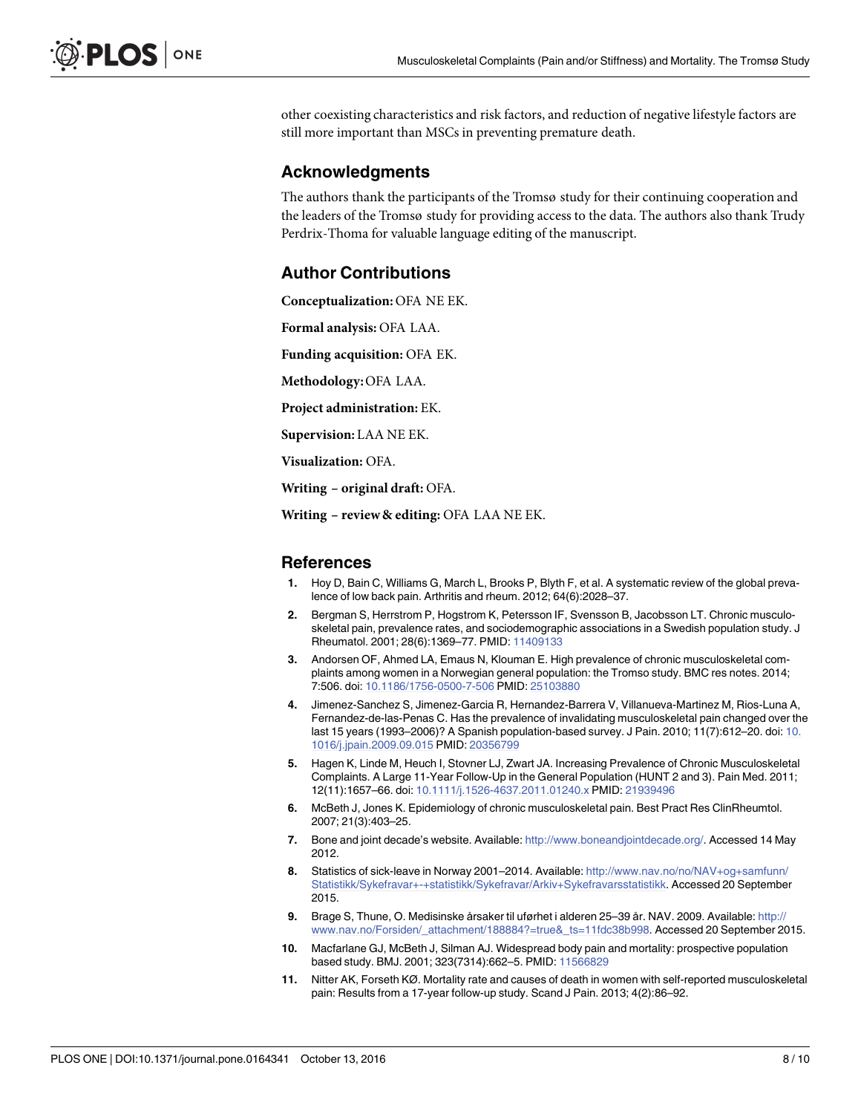<span id="page-7-0"></span>other coexisting characteristics and risk factors, and reduction of negative lifestyle factors are still more important than MSCs in preventing premature death.

### **Acknowledgments**

The authors thank the participants of the Tromsø study for their continuing cooperation and the leaders of the Tromsø study for providing access to the data. The authors also thank Trudy Perdrix-Thoma for valuable language editing of the manuscript.

# **Author Contributions**

**Conceptualization:** OFA NE EK.

**Formal analysis:** OFA LAA.

**Funding acquisition:** OFA EK.

**Methodology:**OFA LAA.

**Project administration:** EK.

**Supervision:** LAA NE EK.

**Visualization:** OFA.

**Writing – original draft:** OFA.

**Writing – review& editing:** OFA LAA NE EK.

#### **References**

- **[1](#page-1-0).** Hoy D, Bain C, Williams G, March L, Brooks P, Blyth F, et al. A systematic review of the global prevalence of low back pain. Arthritis and rheum. 2012; 64(6):2028–37.
- **2.** Bergman S, Herrstrom P, Hogstrom K, Petersson IF, Svensson B, Jacobsson LT. Chronic musculoskeletal pain, prevalence rates, and sociodemographic associations in a Swedish population study. J Rheumatol. 2001; 28(6):1369–77. PMID: [11409133](http://www.ncbi.nlm.nih.gov/pubmed/11409133)
- **[3](#page-1-0).** Andorsen OF, Ahmed LA, Emaus N, Klouman E. High prevalence of chronic musculoskeletal complaints among women in a Norwegian general population: the Tromso study. BMC res notes. 2014; 7:506. doi: [10.1186/1756-0500-7-506](http://dx.doi.org/10.1186/1756-0500-7-506) PMID: [25103880](http://www.ncbi.nlm.nih.gov/pubmed/25103880)
- **[4](#page-1-0).** Jimenez-Sanchez S, Jimenez-Garcia R, Hernandez-Barrera V, Villanueva-Martinez M, Rios-Luna A, Fernandez-de-las-Penas C. Has the prevalence of invalidating musculoskeletal pain changed over the last 15 years (1993–2006)? A Spanish population-based survey. J Pain. 2010; 11(7):612–20. doi: [10.](http://dx.doi.org/10.1016/j.jpain.2009.09.015) [1016/j.jpain.2009.09.015](http://dx.doi.org/10.1016/j.jpain.2009.09.015) PMID: [20356799](http://www.ncbi.nlm.nih.gov/pubmed/20356799)
- **[5](#page-1-0).** Hagen K, Linde M, Heuch I, Stovner LJ, Zwart JA. Increasing Prevalence of Chronic Musculoskeletal Complaints. A Large 11-Year Follow-Up in the General Population (HUNT 2 and 3). Pain Med. 2011; 12(11):1657–66. doi: [10.1111/j.1526-4637.2011.01240.x](http://dx.doi.org/10.1111/j.1526-4637.2011.01240.x) PMID: [21939496](http://www.ncbi.nlm.nih.gov/pubmed/21939496)
- **[6](#page-1-0).** McBeth J, Jones K. Epidemiology of chronic musculoskeletal pain. Best Pract Res ClinRheumtol. 2007; 21(3):403–25.
- **[7](#page-1-0).** Bone and joint decade's website. Available: <http://www.boneandjointdecade.org/>. Accessed 14 May 2012.
- [8](#page-1-0). Statistics of sick-leave in Norway 2001–2014. Available: [http://www.nav.no/no/NAV+og+samfunn/](http://www.nav.no/no/NAV+og+samfunn/Statistikk/Sykefravar+-+statistikk/Sykefravar/Arkiv+Sykefravarsstatistikk) [Statistikk/Sykefravar+-+statistikk/Sykefravar/Arkiv+Sykefravarsstatistikk.](http://www.nav.no/no/NAV+og+samfunn/Statistikk/Sykefravar+-+statistikk/Sykefravar/Arkiv+Sykefravarsstatistikk) Accessed 20 September 2015.
- **[9](#page-1-0).** Brage S, Thune, O. Medisinske årsaker til uførhet i alderen 25–39 år. NAV. 2009. Available: [http://](http://www.nav.no/Forsiden/_attachment/188884?=true&_ts=11fdc38b998) [www.nav.no/Forsiden/\\_attachment/188884?=true&\\_ts=11fdc38b998.](http://www.nav.no/Forsiden/_attachment/188884?=true&_ts=11fdc38b998) Accessed 20 September 2015.
- **[10](#page-1-0).** Macfarlane GJ, McBeth J, Silman AJ. Widespread body pain and mortality: prospective population based study. BMJ. 2001; 323(7314):662–5. PMID: [11566829](http://www.ncbi.nlm.nih.gov/pubmed/11566829)
- **[11](#page-5-0).** Nitter AK, Forseth KØ. Mortality rate and causes of death in women with self-reported musculoskeletal pain: Results from a 17-year follow-up study. Scand J Pain. 2013; 4(2):86–92.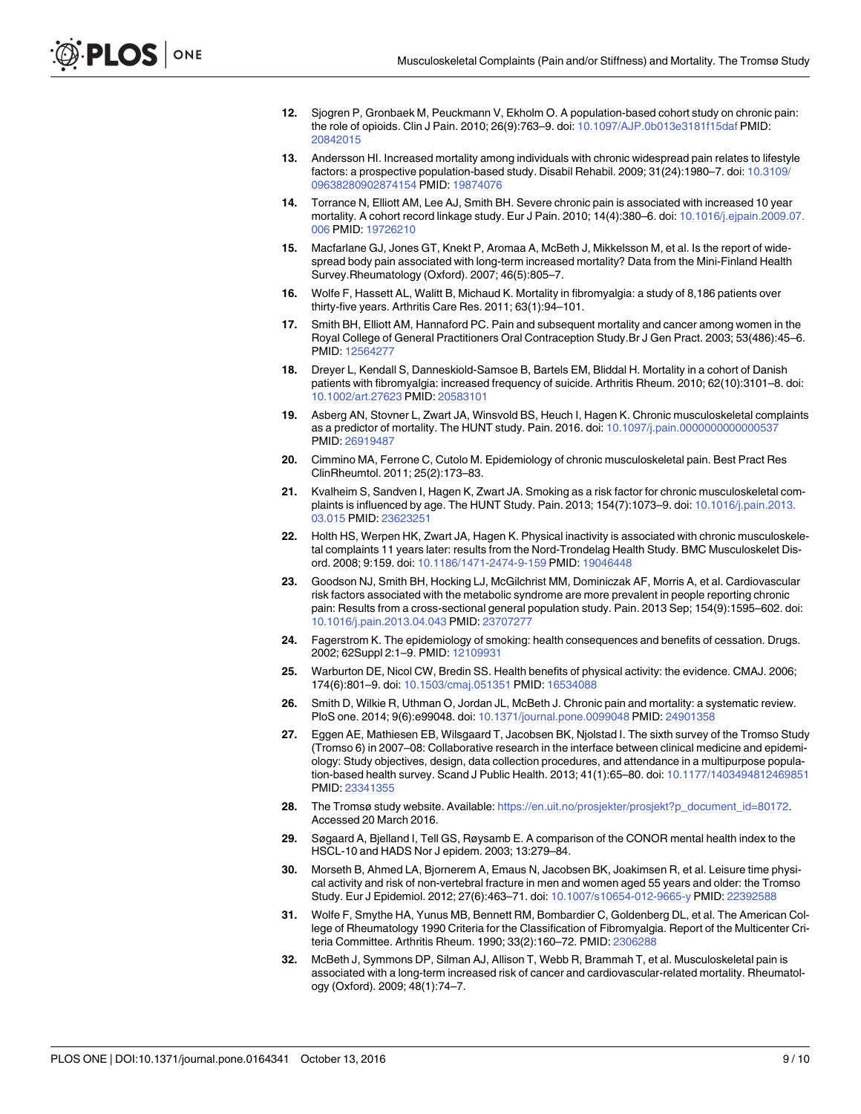- <span id="page-8-0"></span>**[12](#page-5-0).** Sjogren P, Gronbaek M, Peuckmann V, Ekholm O. A population-based cohort study on chronic pain: the role of opioids. Clin J Pain. 2010; 26(9):763–9. doi: [10.1097/AJP.0b013e3181f15daf](http://dx.doi.org/10.1097/AJP.0b013e3181f15daf) PMID: [20842015](http://www.ncbi.nlm.nih.gov/pubmed/20842015)
- **[13](#page-5-0).** Andersson HI. Increased mortality among individuals with chronic widespread pain relates to lifestyle factors: a prospective population-based study. Disabil Rehabil. 2009; 31(24):1980–7. doi: [10.3109/](http://dx.doi.org/10.3109/09638280902874154) [09638280902874154](http://dx.doi.org/10.3109/09638280902874154) PMID: [19874076](http://www.ncbi.nlm.nih.gov/pubmed/19874076)
- **[14](#page-1-0).** Torrance N, Elliott AM, Lee AJ, Smith BH. Severe chronic pain is associated with increased 10 year mortality. A cohort record linkage study. Eur J Pain. 2010; 14(4):380–6. doi: [10.1016/j.ejpain.2009.07.](http://dx.doi.org/10.1016/j.ejpain.2009.07.006) [006](http://dx.doi.org/10.1016/j.ejpain.2009.07.006) PMID: [19726210](http://www.ncbi.nlm.nih.gov/pubmed/19726210)
- **[15](#page-1-0).** Macfarlane GJ, Jones GT, Knekt P, Aromaa A, McBeth J, Mikkelsson M, et al. Is the report of widespread body pain associated with long-term increased mortality? Data from the Mini-Finland Health Survey.Rheumatology (Oxford). 2007; 46(5):805–7.
- **16.** Wolfe F, Hassett AL, Walitt B, Michaud K. Mortality in fibromyalgia: a study of 8,186 patients over thirty-five years. Arthritis Care Res. 2011; 63(1):94–101.
- **[17](#page-5-0).** Smith BH, Elliott AM, Hannaford PC. Pain and subsequent mortality and cancer among women in the Royal College of General Practitioners Oral Contraception Study.Br J Gen Pract. 2003; 53(486):45–6. PMID: [12564277](http://www.ncbi.nlm.nih.gov/pubmed/12564277)
- **18.** Dreyer L, Kendall S, Danneskiold-Samsoe B, Bartels EM, Bliddal H. Mortality in a cohort of Danish patients with fibromyalgia: increased frequency of suicide. Arthritis Rheum. 2010; 62(10):3101–8. doi: [10.1002/art.27623](http://dx.doi.org/10.1002/art.27623) PMID: [20583101](http://www.ncbi.nlm.nih.gov/pubmed/20583101)
- **[19](#page-1-0).** Asberg AN, Stovner L, Zwart JA, Winsvold BS, Heuch I, Hagen K. Chronic musculoskeletal complaints as a predictor of mortality. The HUNT study. Pain. 2016. doi: [10.1097/j.pain.0000000000000537](http://dx.doi.org/10.1097/j.pain.0000000000000537) PMID: [26919487](http://www.ncbi.nlm.nih.gov/pubmed/26919487)
- **[20](#page-1-0).** Cimmino MA, Ferrone C, Cutolo M. Epidemiology of chronic musculoskeletal pain. Best Pract Res ClinRheumtol. 2011; 25(2):173–83.
- **21.** Kvalheim S, Sandven I, Hagen K, Zwart JA. Smoking as a risk factor for chronic musculoskeletal complaints is influenced by age. The HUNT Study. Pain. 2013; 154(7):1073–9. doi: [10.1016/j.pain.2013.](http://dx.doi.org/10.1016/j.pain.2013.03.015) [03.015](http://dx.doi.org/10.1016/j.pain.2013.03.015) PMID: [23623251](http://www.ncbi.nlm.nih.gov/pubmed/23623251)
- **22.** Holth HS, Werpen HK, Zwart JA, Hagen K. Physical inactivity is associated with chronic musculoskeletal complaints 11 years later: results from the Nord-Trondelag Health Study. BMC Musculoskelet Disord. 2008; 9:159. doi: [10.1186/1471-2474-9-159](http://dx.doi.org/10.1186/1471-2474-9-159) PMID: [19046448](http://www.ncbi.nlm.nih.gov/pubmed/19046448)
- **[23](#page-1-0).** Goodson NJ, Smith BH, Hocking LJ, McGilchrist MM, Dominiczak AF, Morris A, et al. Cardiovascular risk factors associated with the metabolic syndrome are more prevalent in people reporting chronic pain: Results from a cross-sectional general population study. Pain. 2013 Sep; 154(9):1595–602. doi: [10.1016/j.pain.2013.04.043](http://dx.doi.org/10.1016/j.pain.2013.04.043) PMID: [23707277](http://www.ncbi.nlm.nih.gov/pubmed/23707277)
- **[24](#page-1-0).** Fagerstrom K. The epidemiology of smoking: health consequences and benefits of cessation. Drugs. 2002; 62Suppl 2:1–9. PMID: [12109931](http://www.ncbi.nlm.nih.gov/pubmed/12109931)
- **[25](#page-1-0).** Warburton DE, Nicol CW, Bredin SS. Health benefits of physical activity: the evidence. CMAJ. 2006; 174(6):801–9. doi: [10.1503/cmaj.051351](http://dx.doi.org/10.1503/cmaj.051351) PMID: [16534088](http://www.ncbi.nlm.nih.gov/pubmed/16534088)
- **[26](#page-1-0).** Smith D, Wilkie R, Uthman O, Jordan JL, McBeth J. Chronic pain and mortality: a systematic review. PloS one. 2014; 9(6):e99048. doi: [10.1371/journal.pone.0099048](http://dx.doi.org/10.1371/journal.pone.0099048) PMID: [24901358](http://www.ncbi.nlm.nih.gov/pubmed/24901358)
- **[27](#page-1-0).** Eggen AE, Mathiesen EB, Wilsgaard T, Jacobsen BK, Njolstad I. The sixth survey of the Tromso Study (Tromso 6) in 2007–08: Collaborative research in the interface between clinical medicine and epidemiology: Study objectives, design, data collection procedures, and attendance in a multipurpose population-based health survey. Scand J Public Health. 2013; 41(1):65–80. doi: [10.1177/1403494812469851](http://dx.doi.org/10.1177/1403494812469851) PMID: [23341355](http://www.ncbi.nlm.nih.gov/pubmed/23341355)
- [28](#page-2-0). The Tromsø study website. Available: [https://en.uit.no/prosjekter/prosjekt?p\\_document\\_id=80172](https://en.uit.no/prosjekter/prosjekt?p_document_id=80172). Accessed 20 March 2016.
- **[29](#page-2-0).** Søgaard A, Bjelland I, Tell GS, Røysamb E. A comparison of the CONOR mental health index to the HSCL-10 and HADS Nor J epidem. 2003; 13:279–84.
- **[30](#page-2-0).** Morseth B, Ahmed LA, Bjornerem A, Emaus N, Jacobsen BK, Joakimsen R, et al. Leisure time physical activity and risk of non-vertebral fracture in men and women aged 55 years and older: the Tromso Study. Eur J Epidemiol. 2012; 27(6):463–71. doi: [10.1007/s10654-012-9665-y](http://dx.doi.org/10.1007/s10654-012-9665-y) PMID: [22392588](http://www.ncbi.nlm.nih.gov/pubmed/22392588)
- **[31](#page-2-0).** Wolfe F, Smythe HA, Yunus MB, Bennett RM, Bombardier C, Goldenberg DL, et al. The American College of Rheumatology 1990 Criteria for the Classification of Fibromyalgia. Report of the Multicenter Criteria Committee. Arthritis Rheum. 1990; 33(2):160–72. PMID: [2306288](http://www.ncbi.nlm.nih.gov/pubmed/2306288)
- **[32](#page-5-0).** McBeth J, Symmons DP, Silman AJ, Allison T, Webb R, Brammah T, et al. Musculoskeletal pain is associated with a long-term increased risk of cancer and cardiovascular-related mortality. Rheumatology (Oxford). 2009; 48(1):74–7.